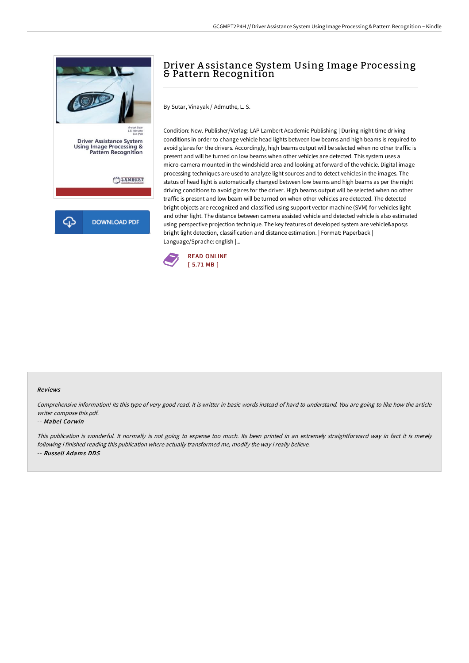

# Driver A ssistance System Using Image Processing & Pattern Recognition

By Sutar, Vinayak / Admuthe, L. S.

Condition: New. Publisher/Verlag: LAP Lambert Academic Publishing | During night time driving conditions in order to change vehicle head lights between low beams and high beams is required to avoid glares for the drivers. Accordingly, high beams output will be selected when no other traffic is present and will be turned on low beams when other vehicles are detected. This system uses a micro-camera mounted in the windshield area and looking at forward of the vehicle. Digital image processing techniques are used to analyze light sources and to detect vehicles in the images. The status of head light is automatically changed between low beams and high beams as per the night driving conditions to avoid glares for the driver. High beams output will be selected when no other traffic is present and low beam will be turned on when other vehicles are detected. The detected bright objects are recognized and classified using support vector machine (SVM) for vehicles light and other light. The distance between camera assisted vehicle and detected vehicle is also estimated using perspective projection technique. The key features of developed system are vehicle's bright light detection, classification and distance estimation. | Format: Paperback | Language/Sprache: english |...



### Reviews

Comprehensive information! Its this type of very good read. It is writter in basic words instead of hard to understand. You are going to like how the article writer compose this pdf.

#### -- Mabel Corwin

This publication is wonderful. It normally is not going to expense too much. Its been printed in an extremely straightforward way in fact it is merely following i finished reading this publication where actually transformed me, modify the way i really believe. -- Russell Adams DDS